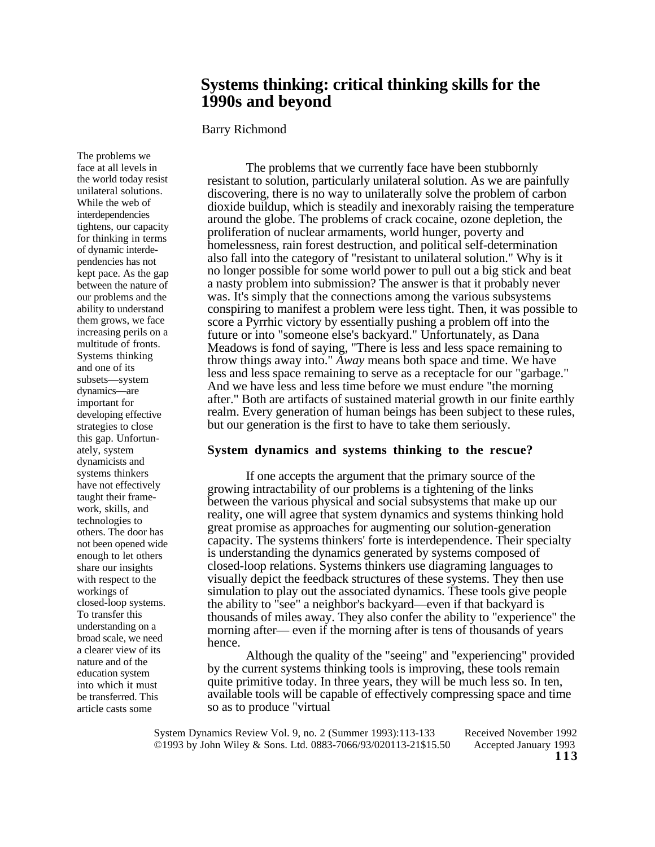# **Systems thinking: critical thinking skills for the 1990s and beyond**

Barry Richmond

The problems we face at all levels in the world today resist unilateral solutions. While the web of interdependencies tightens, our capacity for thinking in terms of dynamic interdependencies has not kept pace. As the gap between the nature of our problems and the ability to understand them grows, we face increasing perils on a multitude of fronts. Systems thinking and one of its subsets—system dynamics—are important for developing effective strategies to close this gap. Unfortunately, system dynamicists and systems thinkers have not effectively taught their framework, skills, and technologies to others. The door has not been opened wide enough to let others share our insights with respect to the workings of closed-loop systems. To transfer this understanding on a broad scale, we need a clearer view of its nature and of the education system into which it must be transferred. This article casts some

The problems that we currently face have been stubbornly resistant to solution, particularly unilateral solution. As we are painfully discovering, there is no way to unilaterally solve the problem of carbon dioxide buildup, which is steadily and inexorably raising the temperature around the globe. The problems of crack cocaine, ozone depletion, the proliferation of nuclear armaments, world hunger, poverty and homelessness, rain forest destruction, and political self-determination also fall into the category of "resistant to unilateral solution." Why is it no longer possible for some world power to pull out a big stick and beat a nasty problem into submission? The answer is that it probably never was. It's simply that the connections among the various subsystems conspiring to manifest a problem were less tight. Then, it was possible to score a Pyrrhic victory by essentially pushing a problem off into the future or into "someone else's backyard." Unfortunately, as Dana Meadows is fond of saying, "There is less and less space remaining to throw things away into." *Away* means both space and time. We have less and less space remaining to serve as a receptacle for our "garbage." And we have less and less time before we must endure "the morning after." Both are artifacts of sustained material growth in our finite earthly realm. Every generation of human beings has been subject to these rules, but our generation is the first to have to take them seriously.

### **System dynamics and systems thinking to the rescue?**

If one accepts the argument that the primary source of the growing intractability of our problems is a tightening of the links between the various physical and social subsystems that make up our reality, one will agree that system dynamics and systems thinking hold great promise as approaches for augmenting our solution-generation capacity. The systems thinkers' forte is interdependence. Their specialty is understanding the dynamics generated by systems composed of closed-loop relations. Systems thinkers use diagraming languages to visually depict the feedback structures of these systems. They then use simulation to play out the associated dynamics. These tools give people the ability to "see" a neighbor's backyard—even if that backyard is thousands of miles away. They also confer the ability to "experience" the morning after— even if the morning after is tens of thousands of years hence.

Although the quality of the "seeing" and "experiencing" provided by the current systems thinking tools is improving, these tools remain quite primitive today. In three years, they will be much less so. In ten, available tools will be capable of effectively compressing space and time so as to produce "virtual

System Dynamics Review Vol. 9, no. 2 (Summer 1993):113-133 Received November 1992 ©1993 by John Wiley & Sons. Ltd. 0883-7066/93/020113-21\$15.50 Accepted January 1993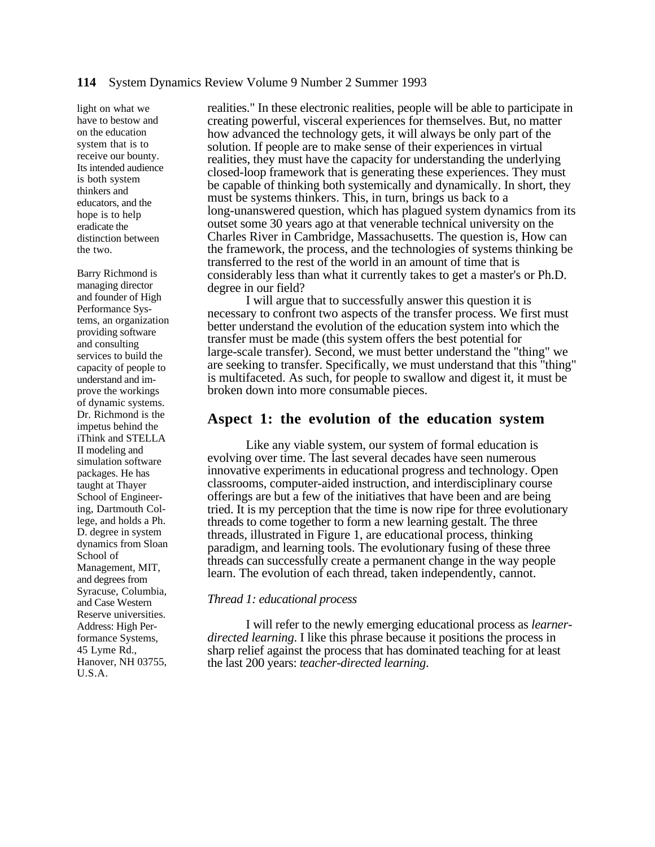light on what we have to bestow and on the education system that is to receive our bounty. Its intended audience is both system thinkers and educators, and the hope is to help eradicate the distinction between the two.

Barry Richmond is managing director and founder of High Performance Systems, an organization providing software and consulting services to build the capacity of people to understand and improve the workings of dynamic systems. Dr. Richmond is the impetus behind the iThink and STELLA II modeling and simulation software packages. He has taught at Thayer School of Engineering, Dartmouth College, and holds a Ph. D. degree in system dynamics from Sloan School of Management, MIT, and degrees from Syracuse, Columbia, and Case Western Reserve universities. Address: High Performance Systems, 45 Lyme Rd., Hanover, NH 03755, U.S.A.

realities." In these electronic realities, people will be able to participate in creating powerful, visceral experiences for themselves. But, no matter how advanced the technology gets, it will always be only part of the solution. If people are to make sense of their experiences in virtual realities, they must have the capacity for understanding the underlying closed-loop framework that is generating these experiences. They must be capable of thinking both systemically and dynamically. In short, they must be systems thinkers. This, in turn, brings us back to a long-unanswered question, which has plagued system dynamics from its outset some 30 years ago at that venerable technical university on the Charles River in Cambridge, Massachusetts. The question is, How can the framework, the process, and the technologies of systems thinking be transferred to the rest of the world in an amount of time that is considerably less than what it currently takes to get a master's or Ph.D. degree in our field?

I will argue that to successfully answer this question it is necessary to confront two aspects of the transfer process. We first must better understand the evolution of the education system into which the transfer must be made (this system offers the best potential for large-scale transfer). Second, we must better understand the "thing" we are seeking to transfer. Specifically, we must understand that this "thing" is multifaceted. As such, for people to swallow and digest it, it must be broken down into more consumable pieces.

# **Aspect 1: the evolution of the education system**

Like any viable system, our system of formal education is evolving over time. The last several decades have seen numerous innovative experiments in educational progress and technology. Open classrooms, computer-aided instruction, and interdisciplinary course offerings are but a few of the initiatives that have been and are being tried. It is my perception that the time is now ripe for three evolutionary threads to come together to form a new learning gestalt. The three threads, illustrated in Figure 1, are educational process, thinking paradigm, and learning tools. The evolutionary fusing of these three threads can successfully create a permanent change in the way people learn. The evolution of each thread, taken independently, cannot.

### *Thread 1: educational process*

I will refer to the newly emerging educational process as *learnerdirected learning*. I like this phrase because it positions the process in sharp relief against the process that has dominated teaching for at least the last 200 years: *teacher-directed learning*.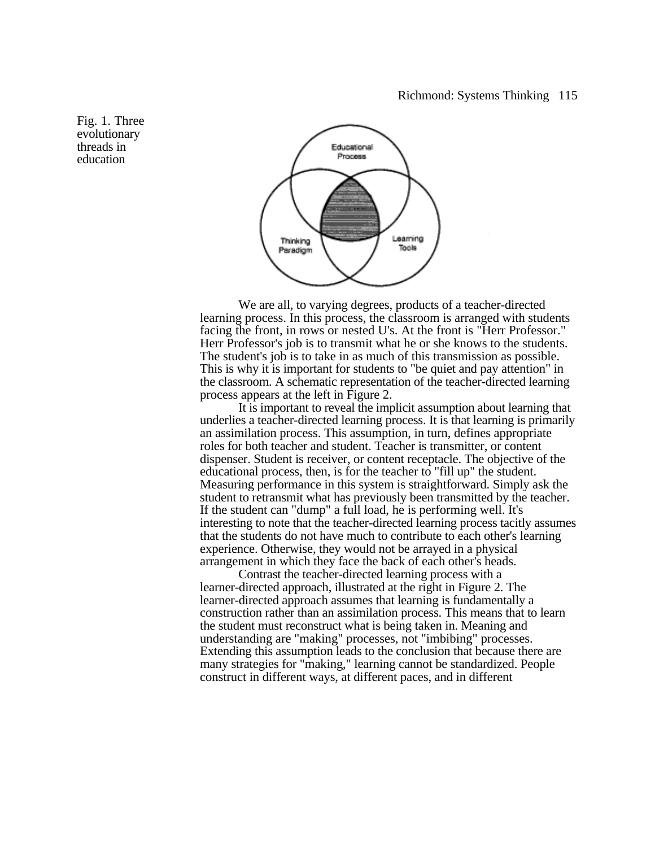Fig. 1. Three evolutionary threads in education



We are all, to varying degrees, products of a teacher-directed learning process. In this process, the classroom is arranged with students facing the front, in rows or nested U's. At the front is "Herr Professor." Herr Professor's job is to transmit what he or she knows to the students. The student's job is to take in as much of this transmission as possible. This is why it is important for students to "be quiet and pay attention" in the classroom. A schematic representation of the teacher-directed learning process appears at the left in Figure 2.

It is important to reveal the implicit assumption about learning that underlies a teacher-directed learning process. It is that learning is primarily an assimilation process. This assumption, in turn, defines appropriate roles for both teacher and student. Teacher is transmitter, or content dispenser. Student is receiver, or content receptacle. The objective of the educational process, then, is for the teacher to "fill up" the student. Measuring performance in this system is straightforward. Simply ask the student to retransmit what has previously been transmitted by the teacher. If the student can "dump" a full load, he is performing well. It's interesting to note that the teacher-directed learning process tacitly assumes that the students do not have much to contribute to each other's learning experience. Otherwise, they would not be arrayed in a physical arrangement in which they face the back of each other's heads.

Contrast the teacher-directed learning process with a learner-directed approach, illustrated at the right in Figure 2. The learner-directed approach assumes that learning is fundamentally a construction rather than an assimilation process. This means that to learn the student must reconstruct what is being taken in. Meaning and understanding are "making" processes, not "imbibing" processes. Extending this assumption leads to the conclusion that because there are many strategies for "making," learning cannot be standardized. People construct in different ways, at different paces, and in different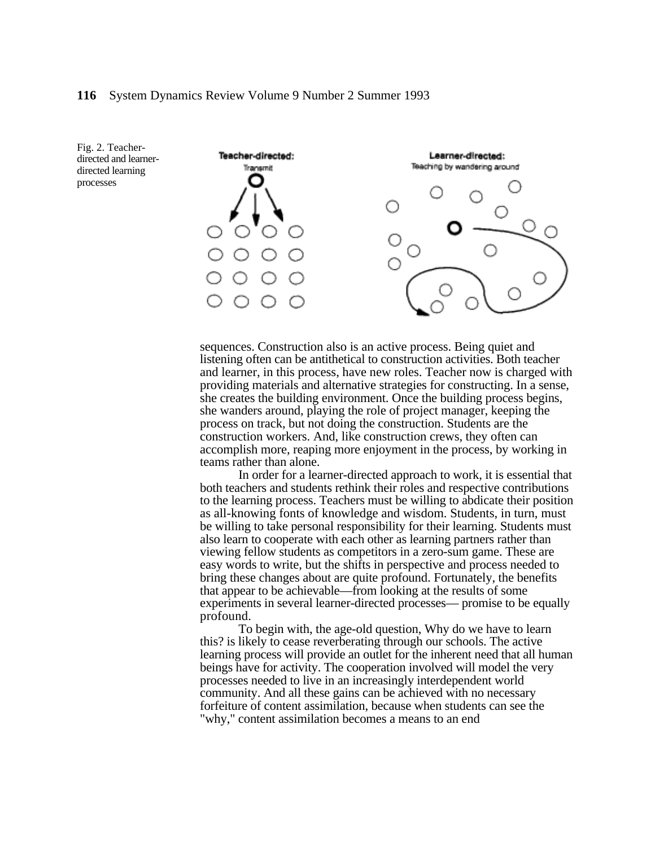

sequences. Construction also is an active process. Being quiet and listening often can be antithetical to construction activities. Both teacher and learner, in this process, have new roles. Teacher now is charged with providing materials and alternative strategies for constructing. In a sense, she creates the building environment. Once the building process begins, she wanders around, playing the role of project manager, keeping the process on track, but not doing the construction. Students are the construction workers. And, like construction crews, they often can accomplish more, reaping more enjoyment in the process, by working in teams rather than alone.

In order for a learner-directed approach to work, it is essential that both teachers and students rethink their roles and respective contributions to the learning process. Teachers must be willing to abdicate their position as all-knowing fonts of knowledge and wisdom. Students, in turn, must be willing to take personal responsibility for their learning. Students must also learn to cooperate with each other as learning partners rather than viewing fellow students as competitors in a zero-sum game. These are easy words to write, but the shifts in perspective and process needed to bring these changes about are quite profound. Fortunately, the benefits that appear to be achievable—from looking at the results of some experiments in several learner-directed processes— promise to be equally profound.

To begin with, the age-old question, Why do we have to learn this? is likely to cease reverberating through our schools. The active learning process will provide an outlet for the inherent need that all human beings have for activity. The cooperation involved will model the very processes needed to live in an increasingly interdependent world community. And all these gains can be achieved with no necessary forfeiture of content assimilation, because when students can see the "why," content assimilation becomes a means to an end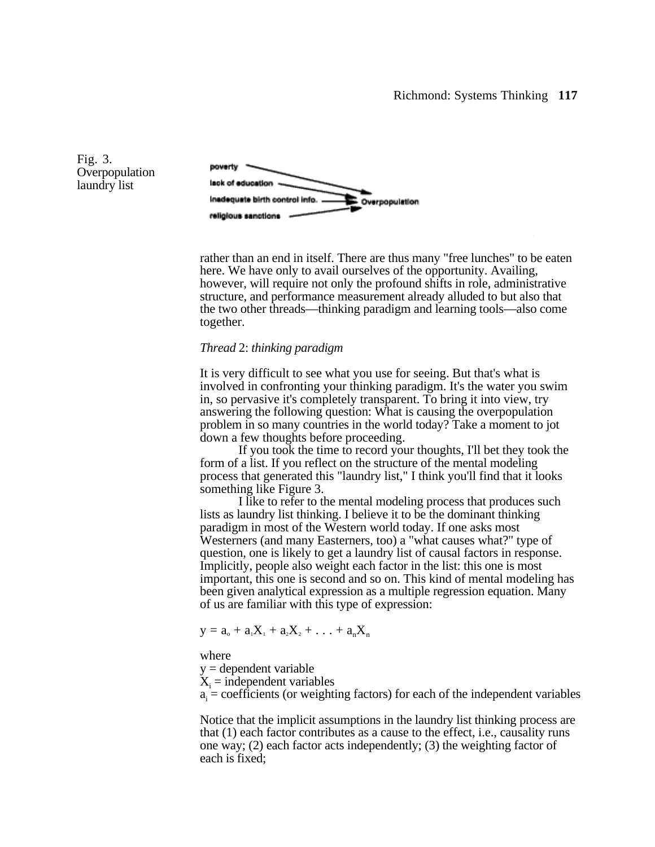Fig. 3. Overpopulation laundry list



rather than an end in itself. There are thus many "free lunches" to be eaten here. We have only to avail ourselves of the opportunity. Availing, however, will require not only the profound shifts in role, administrative structure, and performance measurement already alluded to but also that the two other threads—thinking paradigm and learning tools—also come together.

# *Thread* 2: *thinking paradigm*

It is very difficult to see what you use for seeing. But that's what is involved in confronting your thinking paradigm. It's the water you swim in, so pervasive it's completely transparent. To bring it into view, try answering the following question: What is causing the overpopulation problem in so many countries in the world today? Take a moment to jot down a few thoughts before proceeding.

If you took the time to record your thoughts, I'll bet they took the form of a list. If you reflect on the structure of the mental modeling process that generated this "laundry list," I think you'll find that it looks something like Figure 3.

I like to refer to the mental modeling process that produces such lists as laundry list thinking. I believe it to be the dominant thinking paradigm in most of the Western world today. If one asks most Westerners (and many Easterners, too) a "what causes what?" type of question, one is likely to get a laundry list of causal factors in response. Implicitly, people also weight each factor in the list: this one is most important, this one is second and so on. This kind of mental modeling has been given analytical expression as a multiple regression equation. Many of us are familiar with this type of expression:

$$
y=a_\mathrm{o}+a_\mathrm{i}X_\mathrm{i}+a_\mathrm{z}X_\mathrm{z}+\ldots+a_\mathrm{n}X_\mathrm{n}
$$

where

 $y =$  dependent variable

 $X_i$  = independent variables

 $a_i$  = coefficients (or weighting factors) for each of the independent variables

Notice that the implicit assumptions in the laundry list thinking process are that (1) each factor contributes as a cause to the effect, i.e., causality runs one way; (2) each factor acts independently; (3) the weighting factor of each is fixed;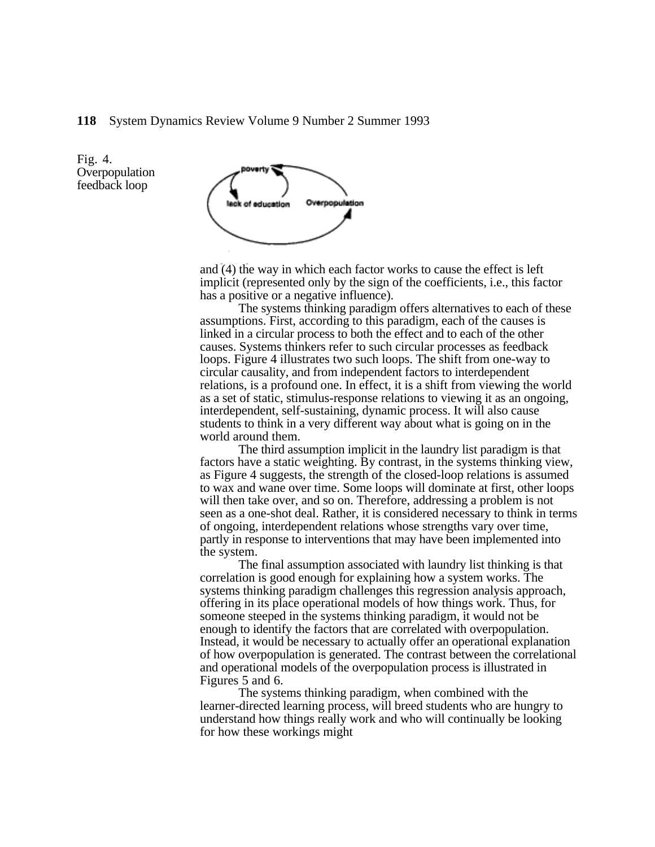Fig. 4. Overpopulation feedback loop



and (4) the way in which each factor works to cause the effect is left implicit (represented only by the sign of the coefficients, i.e., this factor has a positive or a negative influence).

The systems thinking paradigm offers alternatives to each of these assumptions. First, according to this paradigm, each of the causes is linked in a circular process to both the effect and to each of the other causes. Systems thinkers refer to such circular processes as feedback loops. Figure 4 illustrates two such loops. The shift from one-way to circular causality, and from independent factors to interdependent relations, is a profound one. In effect, it is a shift from viewing the world as a set of static, stimulus-response relations to viewing it as an ongoing, interdependent, self-sustaining, dynamic process. It will also cause students to think in a very different way about what is going on in the world around them.

The third assumption implicit in the laundry list paradigm is that factors have a static weighting. By contrast, in the systems thinking view, as Figure 4 suggests, the strength of the closed-loop relations is assumed to wax and wane over time. Some loops will dominate at first, other loops will then take over, and so on. Therefore, addressing a problem is not seen as a one-shot deal. Rather, it is considered necessary to think in terms of ongoing, interdependent relations whose strengths vary over time, partly in response to interventions that may have been implemented into the system.

The final assumption associated with laundry list thinking is that correlation is good enough for explaining how a system works. The systems thinking paradigm challenges this regression analysis approach, offering in its place operational models of how things work. Thus, for someone steeped in the systems thinking paradigm, it would not be enough to identify the factors that are correlated with overpopulation. Instead, it would be necessary to actually offer an operational explanation of how overpopulation is generated. The contrast between the correlational and operational models of the overpopulation process is illustrated in Figures 5 and 6.

The systems thinking paradigm, when combined with the learner-directed learning process, will breed students who are hungry to understand how things really work and who will continually be looking for how these workings might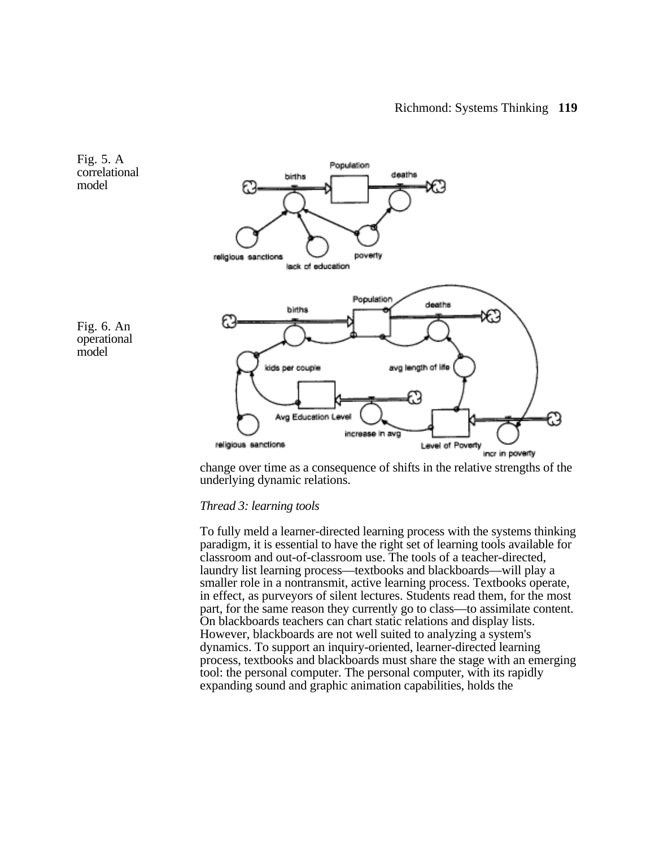

change over time as a consequence of shifts in the relative strengths of the underlying dynamic relations.

### *Thread 3: learning tools*

To fully meld a learner-directed learning process with the systems thinking paradigm, it is essential to have the right set of learning tools available for classroom and out-of-classroom use. The tools of a teacher-directed, laundry list learning process—textbooks and blackboards—will play a smaller role in a nontransmit, active learning process. Textbooks operate, in effect, as purveyors of silent lectures. Students read them, for the most part, for the same reason they currently go to class—to assimilate content. On blackboards teachers can chart static relations and display lists. However, blackboards are not well suited to analyzing a system's dynamics. To support an inquiry-oriented, learner-directed learning process, textbooks and blackboards must share the stage with an emerging tool: the personal computer. The personal computer, with its rapidly expanding sound and graphic animation capabilities, holds the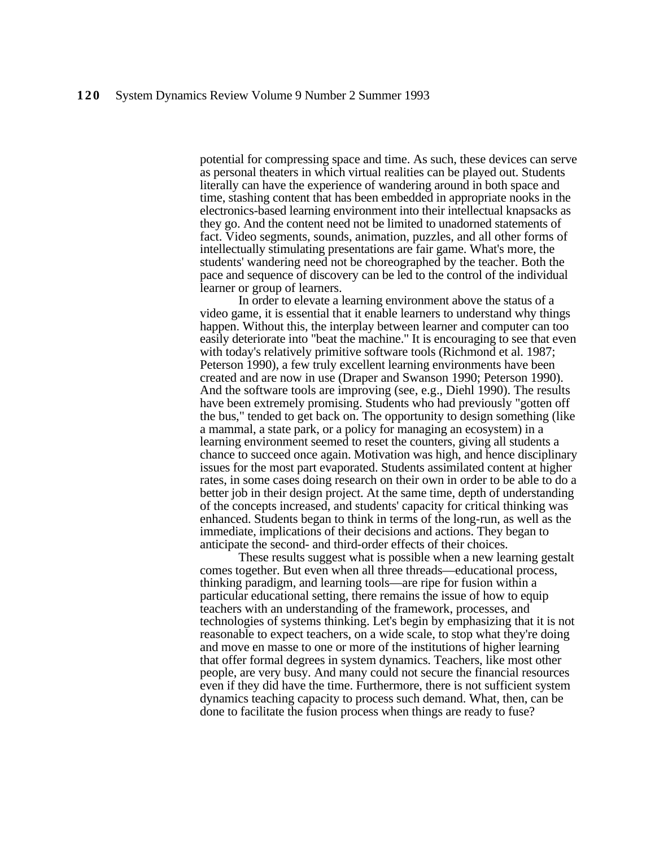potential for compressing space and time. As such, these devices can serve as personal theaters in which virtual realities can be played out. Students literally can have the experience of wandering around in both space and time, stashing content that has been embedded in appropriate nooks in the electronics-based learning environment into their intellectual knapsacks as they go. And the content need not be limited to unadorned statements of fact. Video segments, sounds, animation, puzzles, and all other forms of intellectually stimulating presentations are fair game. What's more, the students' wandering need not be choreographed by the teacher. Both the pace and sequence of discovery can be led to the control of the individual learner or group of learners.

In order to elevate a learning environment above the status of a video game, it is essential that it enable learners to understand why things happen. Without this, the interplay between learner and computer can too easily deteriorate into "beat the machine." It is encouraging to see that even with today's relatively primitive software tools (Richmond et al. 1987; Peterson 1990), a few truly excellent learning environments have been created and are now in use (Draper and Swanson 1990; Peterson 1990). And the software tools are improving (see, e.g., Diehl 1990). The results have been extremely promising. Students who had previously "gotten off the bus," tended to get back on. The opportunity to design something (like a mammal, a state park, or a policy for managing an ecosystem) in a learning environment seemed to reset the counters, giving all students a chance to succeed once again. Motivation was high, and hence disciplinary issues for the most part evaporated. Students assimilated content at higher rates, in some cases doing research on their own in order to be able to do a better job in their design project. At the same time, depth of understanding of the concepts increased, and students' capacity for critical thinking was enhanced. Students began to think in terms of the long-run, as well as the immediate, implications of their decisions and actions. They began to anticipate the second- and third-order effects of their choices.

These results suggest what is possible when a new learning gestalt comes together. But even when all three threads—educational process, thinking paradigm, and learning tools—are ripe for fusion within a particular educational setting, there remains the issue of how to equip teachers with an understanding of the framework, processes, and technologies of systems thinking. Let's begin by emphasizing that it is not reasonable to expect teachers, on a wide scale, to stop what they're doing and move en masse to one or more of the institutions of higher learning that offer formal degrees in system dynamics. Teachers, like most other people, are very busy. And many could not secure the financial resources even if they did have the time. Furthermore, there is not sufficient system dynamics teaching capacity to process such demand. What, then, can be done to facilitate the fusion process when things are ready to fuse?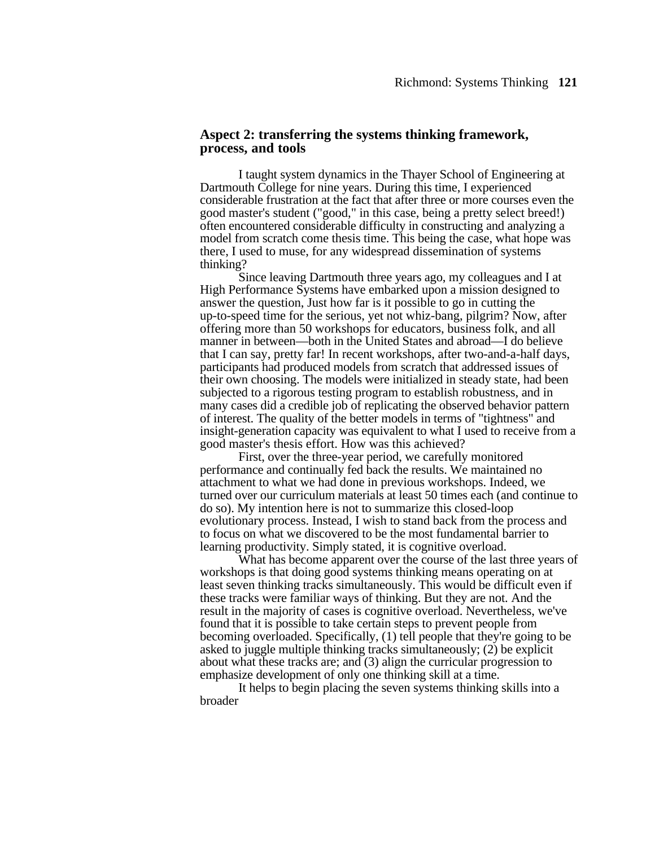# **Aspect 2: transferring the systems thinking framework, process, and tools**

I taught system dynamics in the Thayer School of Engineering at Dartmouth College for nine years. During this time, I experienced considerable frustration at the fact that after three or more courses even the good master's student ("good," in this case, being a pretty select breed!) often encountered considerable difficulty in constructing and analyzing a model from scratch come thesis time. This being the case, what hope was there, I used to muse, for any widespread dissemination of systems thinking?

Since leaving Dartmouth three years ago, my colleagues and I at High Performance Systems have embarked upon a mission designed to answer the question, Just how far is it possible to go in cutting the up-to-speed time for the serious, yet not whiz-bang, pilgrim? Now, after offering more than 50 workshops for educators, business folk, and all manner in between—both in the United States and abroad—I do believe that I can say, pretty far! In recent workshops, after two-and-a-half days, participants had produced models from scratch that addressed issues of their own choosing. The models were initialized in steady state, had been subjected to a rigorous testing program to establish robustness, and in many cases did a credible job of replicating the observed behavior pattern of interest. The quality of the better models in terms of "tightness" and insight-generation capacity was equivalent to what I used to receive from a good master's thesis effort. How was this achieved?

First, over the three-year period, we carefully monitored performance and continually fed back the results. We maintained no attachment to what we had done in previous workshops. Indeed, we turned over our curriculum materials at least 50 times each (and continue to do so). My intention here is not to summarize this closed-loop evolutionary process. Instead, I wish to stand back from the process and to focus on what we discovered to be the most fundamental barrier to learning productivity. Simply stated, it is cognitive overload.

What has become apparent over the course of the last three years of workshops is that doing good systems thinking means operating on at least seven thinking tracks simultaneously. This would be difficult even if these tracks were familiar ways of thinking. But they are not. And the result in the majority of cases is cognitive overload. Nevertheless, we've found that it is possible to take certain steps to prevent people from becoming overloaded. Specifically, (1) tell people that they're going to be asked to juggle multiple thinking tracks simultaneously; (2) be explicit about what these tracks are; and (3) align the curricular progression to emphasize development of only one thinking skill at a time.

It helps to begin placing the seven systems thinking skills into a broader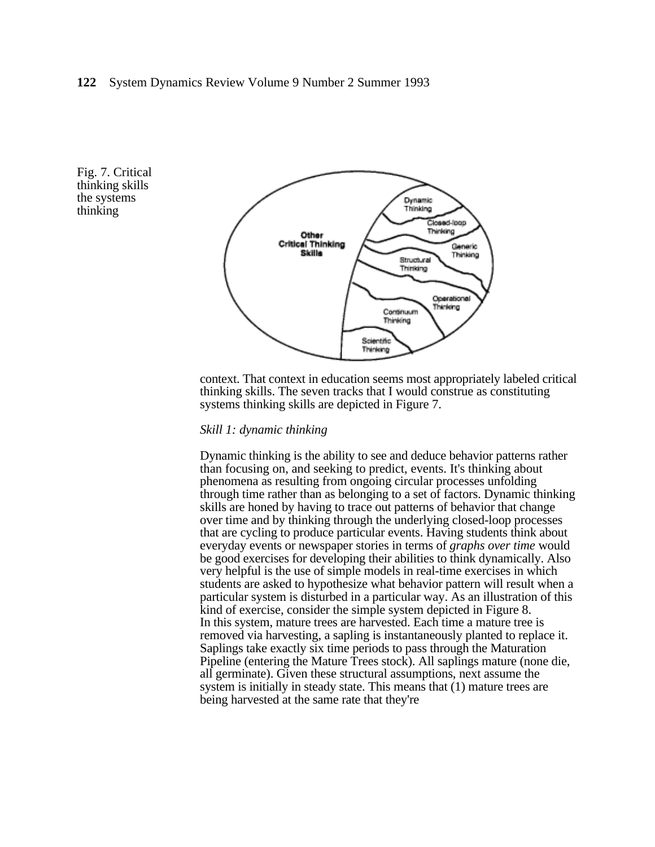



context. That context in education seems most appropriately labeled critical thinking skills. The seven tracks that I would construe as constituting systems thinking skills are depicted in Figure 7.

# *Skill 1: dynamic thinking*

Dynamic thinking is the ability to see and deduce behavior patterns rather than focusing on, and seeking to predict, events. It's thinking about phenomena as resulting from ongoing circular processes unfolding through time rather than as belonging to a set of factors. Dynamic thinking skills are honed by having to trace out patterns of behavior that change over time and by thinking through the underlying closed-loop processes that are cycling to produce particular events. Having students think about everyday events or newspaper stories in terms of *graphs over time* would be good exercises for developing their abilities to think dynamically. Also very helpful is the use of simple models in real-time exercises in which students are asked to hypothesize what behavior pattern will result when a particular system is disturbed in a particular way. As an illustration of this kind of exercise, consider the simple system depicted in Figure 8. In this system, mature trees are harvested. Each time a mature tree is removed via harvesting, a sapling is instantaneously planted to replace it. Saplings take exactly six time periods to pass through the Maturation Pipeline (entering the Mature Trees stock). All saplings mature (none die, all germinate). Given these structural assumptions, next assume the system is initially in steady state. This means that (1) mature trees are being harvested at the same rate that they're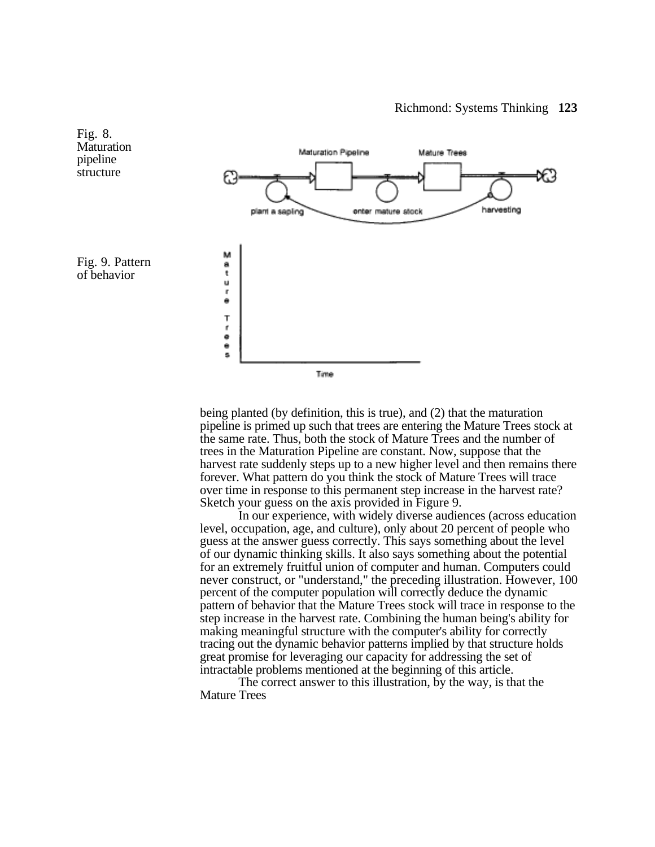

being planted (by definition, this is true), and (2) that the maturation pipeline is primed up such that trees are entering the Mature Trees stock at the same rate. Thus, both the stock of Mature Trees and the number of trees in the Maturation Pipeline are constant. Now, suppose that the harvest rate suddenly steps up to a new higher level and then remains there forever. What pattern do you think the stock of Mature Trees will trace over time in response to this permanent step increase in the harvest rate? Sketch your guess on the axis provided in Figure 9.

In our experience, with widely diverse audiences (across education level, occupation, age, and culture), only about 20 percent of people who guess at the answer guess correctly. This says something about the level of our dynamic thinking skills. It also says something about the potential for an extremely fruitful union of computer and human. Computers could never construct, or "understand," the preceding illustration. However, 100 percent of the computer population will correctly deduce the dynamic pattern of behavior that the Mature Trees stock will trace in response to the step increase in the harvest rate. Combining the human being's ability for making meaningful structure with the computer's ability for correctly tracing out the dynamic behavior patterns implied by that structure holds great promise for leveraging our capacity for addressing the set of intractable problems mentioned at the beginning of this article.

The correct answer to this illustration, by the way, is that the Mature Trees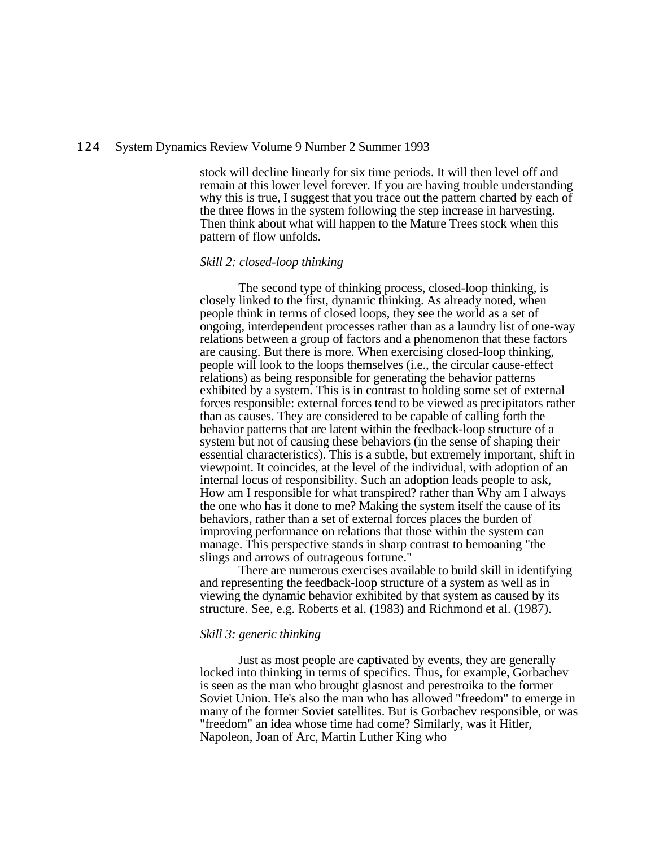stock will decline linearly for six time periods. It will then level off and remain at this lower level forever. If you are having trouble understanding why this is true, I suggest that you trace out the pattern charted by each of the three flows in the system following the step increase in harvesting. Then think about what will happen to the Mature Trees stock when this pattern of flow unfolds.

#### *Skill 2: closed-loop thinking*

The second type of thinking process, closed-loop thinking, is closely linked to the first, dynamic thinking. As already noted, when people think in terms of closed loops, they see the world as a set of ongoing, interdependent processes rather than as a laundry list of one-way relations between a group of factors and a phenomenon that these factors are causing. But there is more. When exercising closed-loop thinking, people will look to the loops themselves (i.e., the circular cause-effect relations) as being responsible for generating the behavior patterns exhibited by a system. This is in contrast to holding some set of external forces responsible: external forces tend to be viewed as precipitators rather than as causes. They are considered to be capable of calling forth the behavior patterns that are latent within the feedback-loop structure of a system but not of causing these behaviors (in the sense of shaping their essential characteristics). This is a subtle, but extremely important, shift in viewpoint. It coincides, at the level of the individual, with adoption of an internal locus of responsibility. Such an adoption leads people to ask, How am I responsible for what transpired? rather than Why am I always the one who has it done to me? Making the system itself the cause of its behaviors, rather than a set of external forces places the burden of improving performance on relations that those within the system can manage. This perspective stands in sharp contrast to bemoaning "the slings and arrows of outrageous fortune."

There are numerous exercises available to build skill in identifying and representing the feedback-loop structure of a system as well as in viewing the dynamic behavior exhibited by that system as caused by its structure. See, e.g. Roberts et al. (1983) and Richmond et al. (1987).

### *Skill 3: generic thinking*

Just as most people are captivated by events, they are generally locked into thinking in terms of specifics. Thus, for example, Gorbachev is seen as the man who brought glasnost and perestroika to the former Soviet Union. He's also the man who has allowed "freedom" to emerge in many of the former Soviet satellites. But is Gorbachev responsible, or was "freedom" an idea whose time had come? Similarly, was it Hitler, Napoleon, Joan of Arc, Martin Luther King who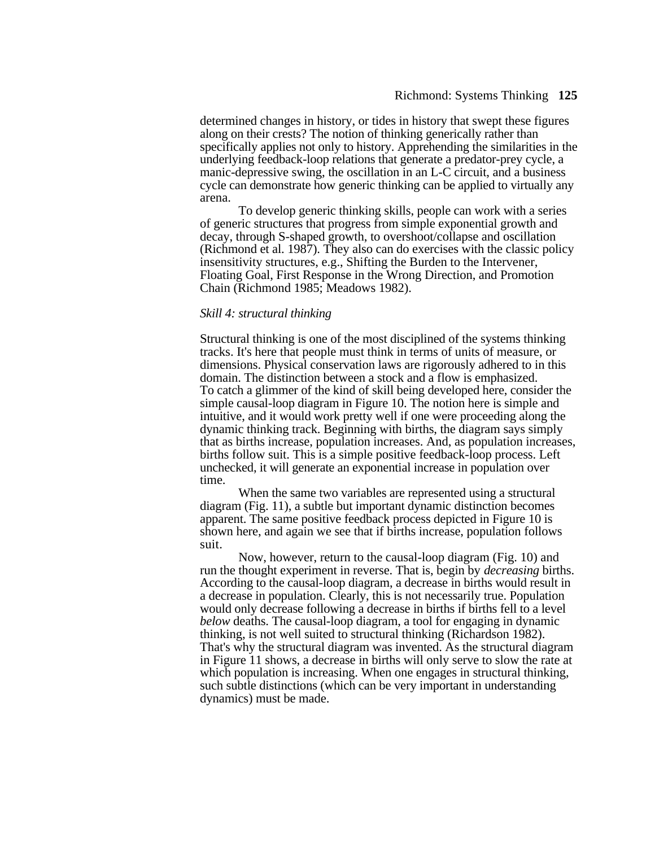determined changes in history, or tides in history that swept these figures along on their crests? The notion of thinking generically rather than specifically applies not only to history. Apprehending the similarities in the underlying feedback-loop relations that generate a predator-prey cycle, a manic-depressive swing, the oscillation in an L-C circuit, and a business cycle can demonstrate how generic thinking can be applied to virtually any arena.

To develop generic thinking skills, people can work with a series of generic structures that progress from simple exponential growth and decay, through S-shaped growth, to overshoot/collapse and oscillation (Richmond et al. 1987). They also can do exercises with the classic policy insensitivity structures, e.g., Shifting the Burden to the Intervener, Floating Goal, First Response in the Wrong Direction, and Promotion Chain (Richmond 1985; Meadows 1982).

#### *Skill 4: structural thinking*

Structural thinking is one of the most disciplined of the systems thinking tracks. It's here that people must think in terms of units of measure, or dimensions. Physical conservation laws are rigorously adhered to in this domain. The distinction between a stock and a flow is emphasized. To catch a glimmer of the kind of skill being developed here, consider the simple causal-loop diagram in Figure 10. The notion here is simple and intuitive, and it would work pretty well if one were proceeding along the dynamic thinking track. Beginning with births, the diagram says simply that as births increase, population increases. And, as population increases, births follow suit. This is a simple positive feedback-loop process. Left unchecked, it will generate an exponential increase in population over time.

When the same two variables are represented using a structural diagram (Fig. 11), a subtle but important dynamic distinction becomes apparent. The same positive feedback process depicted in Figure 10 is shown here, and again we see that if births increase, population follows suit.

Now, however, return to the causal-loop diagram (Fig. 10) and run the thought experiment in reverse. That is, begin by *decreasing* births. According to the causal-loop diagram, a decrease in births would result in a decrease in population. Clearly, this is not necessarily true. Population would only decrease following a decrease in births if births fell to a level *below* deaths. The causal-loop diagram, a tool for engaging in dynamic thinking, is not well suited to structural thinking (Richardson 1982). That's why the structural diagram was invented. As the structural diagram in Figure 11 shows, a decrease in births will only serve to slow the rate at which population is increasing. When one engages in structural thinking, such subtle distinctions (which can be very important in understanding dynamics) must be made.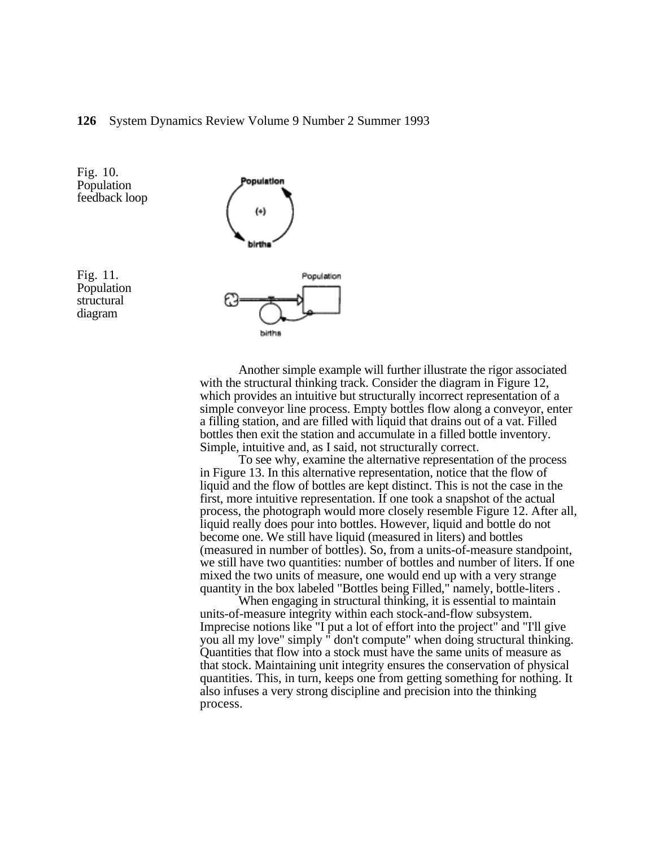

Fig. 11. Population structural diagram



Another simple example will further illustrate the rigor associated with the structural thinking track. Consider the diagram in Figure 12, which provides an intuitive but structurally incorrect representation of a simple conveyor line process. Empty bottles flow along a conveyor, enter a filling station, and are filled with liquid that drains out of a vat. Filled bottles then exit the station and accumulate in a filled bottle inventory. Simple, intuitive and, as I said, not structurally correct.

To see why, examine the alternative representation of the process in Figure 13. In this alternative representation, notice that the flow of liquid and the flow of bottles are kept distinct. This is not the case in the first, more intuitive representation. If one took a snapshot of the actual process, the photograph would more closely resemble Figure 12. After all, liquid really does pour into bottles. However, liquid and bottle do not become one. We still have liquid (measured in liters) and bottles (measured in number of bottles). So, from a units-of-measure standpoint, we still have two quantities: number of bottles and number of liters. If one mixed the two units of measure, one would end up with a very strange quantity in the box labeled "Bottles being Filled," namely, bottle-liters .

When engaging in structural thinking, it is essential to maintain units-of-measure integrity within each stock-and-flow subsystem. Imprecise notions like "I put a lot of effort into the project" and "I'll give you all my love" simply " don't compute" when doing structural thinking. Quantities that flow into a stock must have the same units of measure as that stock. Maintaining unit integrity ensures the conservation of physical quantities. This, in turn, keeps one from getting something for nothing. It also infuses a very strong discipline and precision into the thinking process.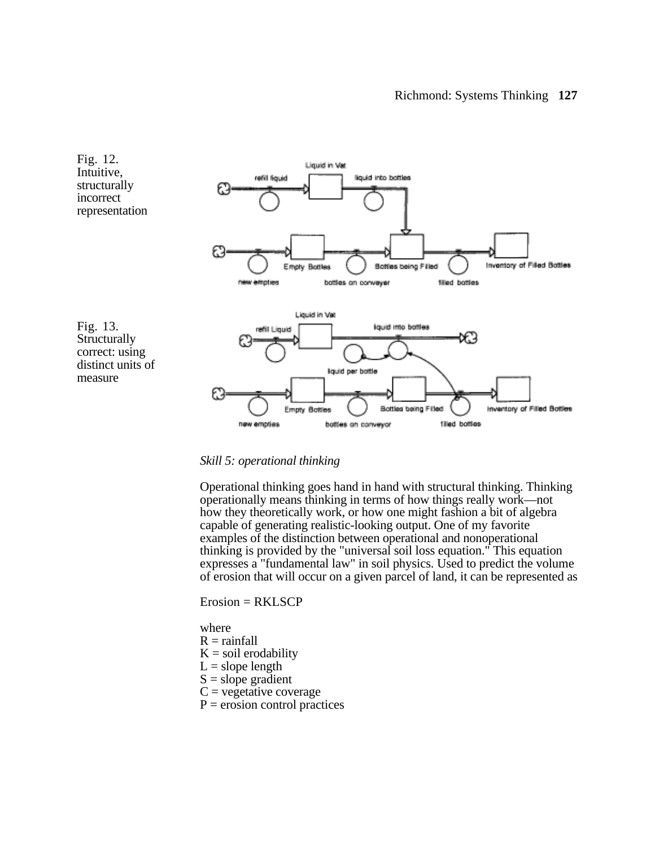

*Skill 5: operational thinking*

Operational thinking goes hand in hand with structural thinking. Thinking operationally means thinking in terms of how things really work—not how they theoretically work, or how one might fashion a bit of algebra capable of generating realistic-looking output. One of my favorite examples of the distinction between operational and nonoperational thinking is provided by the "universal soil loss equation." This equation expresses a "fundamental law" in soil physics. Used to predict the volume of erosion that will occur on a given parcel of land, it can be represented as

 $Erosion = RKLSCP$ 

where  $R =$ rainfall  $K = soil$  erodability  $L =$ slope length  $S = slope$  gradient  $C$  = vegetative coverage  $P =$  erosion control practices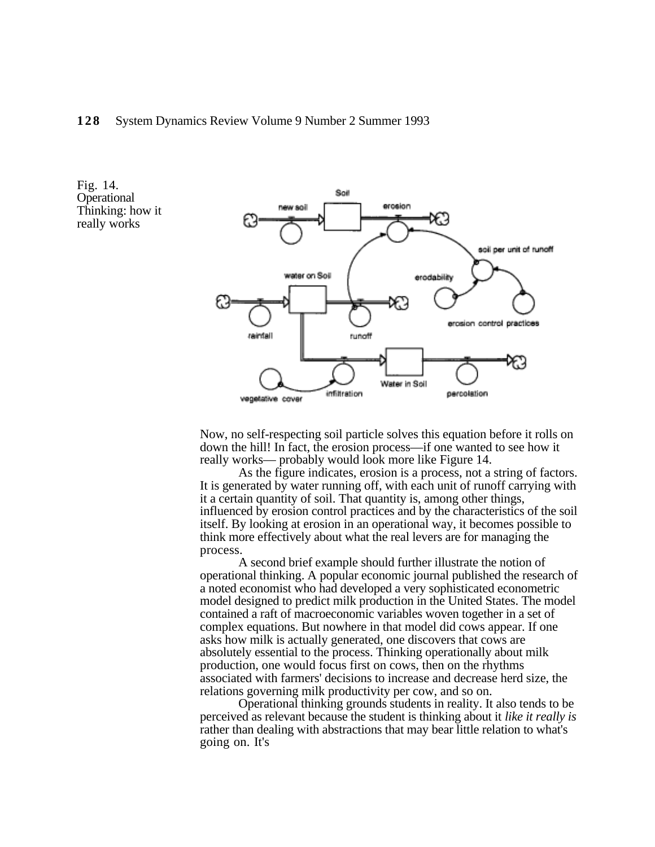Fig. 14. **Operational** 

really works



Now, no self-respecting soil particle solves this equation before it rolls on down the hill! In fact, the erosion process—if one wanted to see how it really works— probably would look more like Figure 14.

As the figure indicates, erosion is a process, not a string of factors. It is generated by water running off, with each unit of runoff carrying with it a certain quantity of soil. That quantity is, among other things, influenced by erosion control practices and by the characteristics of the soil itself. By looking at erosion in an operational way, it becomes possible to think more effectively about what the real levers are for managing the process.

A second brief example should further illustrate the notion of operational thinking. A popular economic journal published the research of a noted economist who had developed a very sophisticated econometric model designed to predict milk production in the United States. The model contained a raft of macroeconomic variables woven together in a set of complex equations. But nowhere in that model did cows appear. If one asks how milk is actually generated, one discovers that cows are absolutely essential to the process. Thinking operationally about milk production, one would focus first on cows, then on the rhythms associated with farmers' decisions to increase and decrease herd size, the relations governing milk productivity per cow, and so on.

Operational thinking grounds students in reality. It also tends to be perceived as relevant because the student is thinking about it *like it really is* rather than dealing with abstractions that may bear little relation to what's going on. It's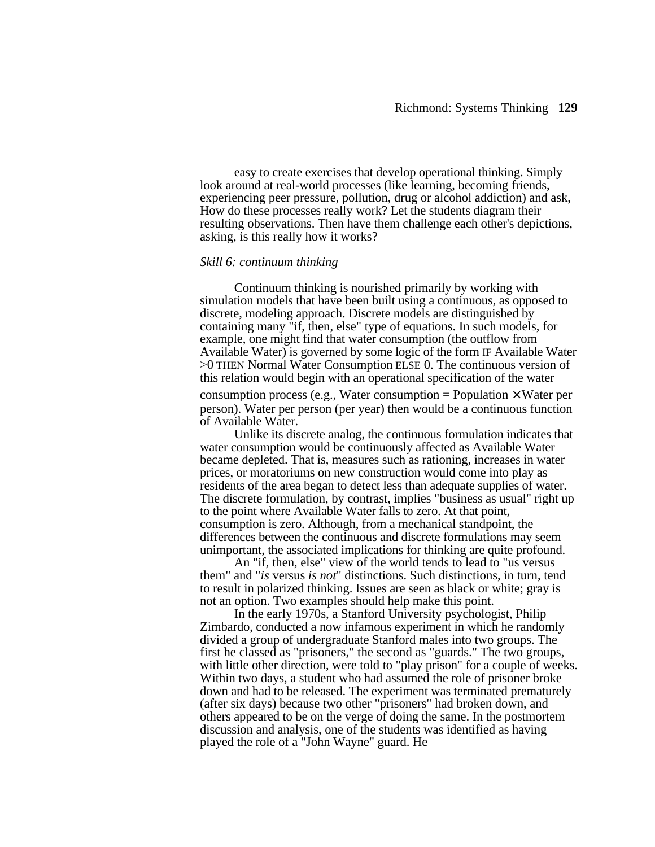easy to create exercises that develop operational thinking. Simply look around at real-world processes (like learning, becoming friends, experiencing peer pressure, pollution, drug or alcohol addiction) and ask, How do these processes really work? Let the students diagram their resulting observations. Then have them challenge each other's depictions, asking, is this really how it works?

#### *Skill 6: continuum thinking*

Continuum thinking is nourished primarily by working with simulation models that have been built using a continuous, as opposed to discrete, modeling approach. Discrete models are distinguished by containing many "if, then, else" type of equations. In such models, for example, one might find that water consumption (the outflow from Available Water) is governed by some logic of the form IF Available Water >0 THEN Normal Water Consumption ELSE 0. The continuous version of this relation would begin with an operational specification of the water

consumption process (e.g., Water consumption = Population  $\times$  Water per person). Water per person (per year) then would be a continuous function of Available Water.

Unlike its discrete analog, the continuous formulation indicates that water consumption would be continuously affected as Available Water became depleted. That is, measures such as rationing, increases in water prices, or moratoriums on new construction would come into play as residents of the area began to detect less than adequate supplies of water. The discrete formulation, by contrast, implies "business as usual" right up to the point where Available Water falls to zero. At that point, consumption is zero. Although, from a mechanical standpoint, the differences between the continuous and discrete formulations may seem unimportant, the associated implications for thinking are quite profound.

An "if, then, else" view of the world tends to lead to "us versus them" and "*is* versus *is not*" distinctions. Such distinctions, in turn, tend to result in polarized thinking. Issues are seen as black or white; gray is not an option. Two examples should help make this point.

In the early 1970s, a Stanford University psychologist, Philip Zimbardo, conducted a now infamous experiment in which he randomly divided a group of undergraduate Stanford males into two groups. The first he classed as "prisoners," the second as "guards." The two groups, with little other direction, were told to "play prison" for a couple of weeks. Within two days, a student who had assumed the role of prisoner broke down and had to be released. The experiment was terminated prematurely (after six days) because two other "prisoners" had broken down, and others appeared to be on the verge of doing the same. In the postmortem discussion and analysis, one of the students was identified as having played the role of a "John Wayne" guard. He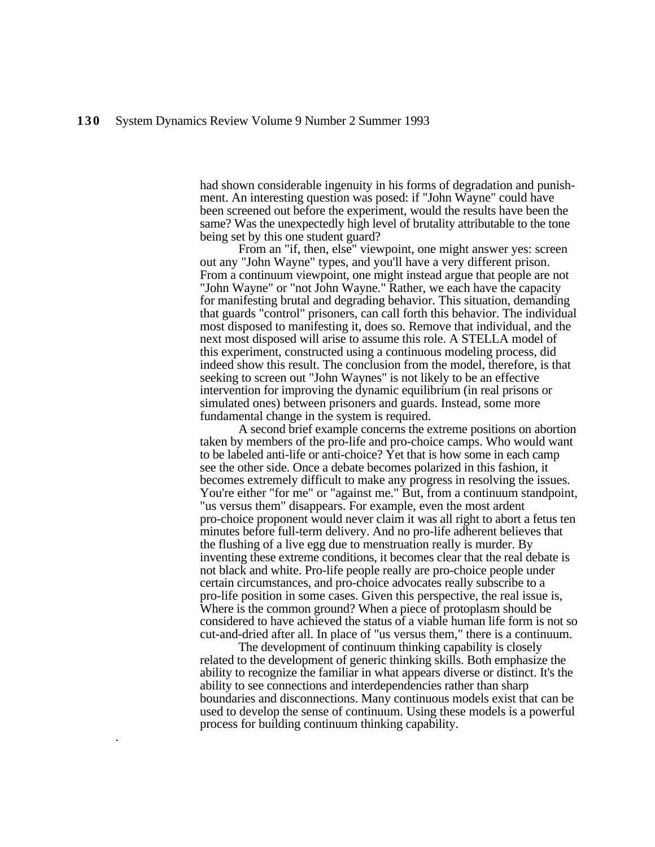.

had shown considerable ingenuity in his forms of degradation and punishment. An interesting question was posed: if "John Wayne" could have been screened out before the experiment, would the results have been the same? Was the unexpectedly high level of brutality attributable to the tone being set by this one student guard?

From an "if, then, else" viewpoint, one might answer yes: screen out any "John Wayne" types, and you'll have a very different prison. From a continuum viewpoint, one might instead argue that people are not "John Wayne" or "not John Wayne." Rather, we each have the capacity for manifesting brutal and degrading behavior. This situation, demanding that guards "control" prisoners, can call forth this behavior. The individual most disposed to manifesting it, does so. Remove that individual, and the next most disposed will arise to assume this role. A STELLA model of this experiment, constructed using a continuous modeling process, did indeed show this result. The conclusion from the model, therefore, is that seeking to screen out "John Waynes" is not likely to be an effective intervention for improving the dynamic equilibrium (in real prisons or simulated ones) between prisoners and guards. Instead, some more fundamental change in the system is required.

A second brief example concerns the extreme positions on abortion taken by members of the pro-life and pro-choice camps. Who would want to be labeled anti-life or anti-choice? Yet that is how some in each camp see the other side. Once a debate becomes polarized in this fashion, it becomes extremely difficult to make any progress in resolving the issues. You're either "for me" or "against me." But, from a continuum standpoint, "us versus them" disappears. For example, even the most ardent pro-choice proponent would never claim it was all right to abort a fetus ten minutes before full-term delivery. And no pro-life adherent believes that the flushing of a live egg due to menstruation really is murder. By inventing these extreme conditions, it becomes clear that the real debate is not black and white. Pro-life people really are pro-choice people under certain circumstances, and pro-choice advocates really subscribe to a pro-life position in some cases. Given this perspective, the real issue is, Where is the common ground? When a piece of protoplasm should be considered to have achieved the status of a viable human life form is not so cut-and-dried after all. In place of "us versus them," there is a continuum.

The development of continuum thinking capability is closely related to the development of generic thinking skills. Both emphasize the ability to recognize the familiar in what appears diverse or distinct. It's the ability to see connections and interdependencies rather than sharp boundaries and disconnections. Many continuous models exist that can be used to develop the sense of continuum. Using these models is a powerful process for building continuum thinking capability.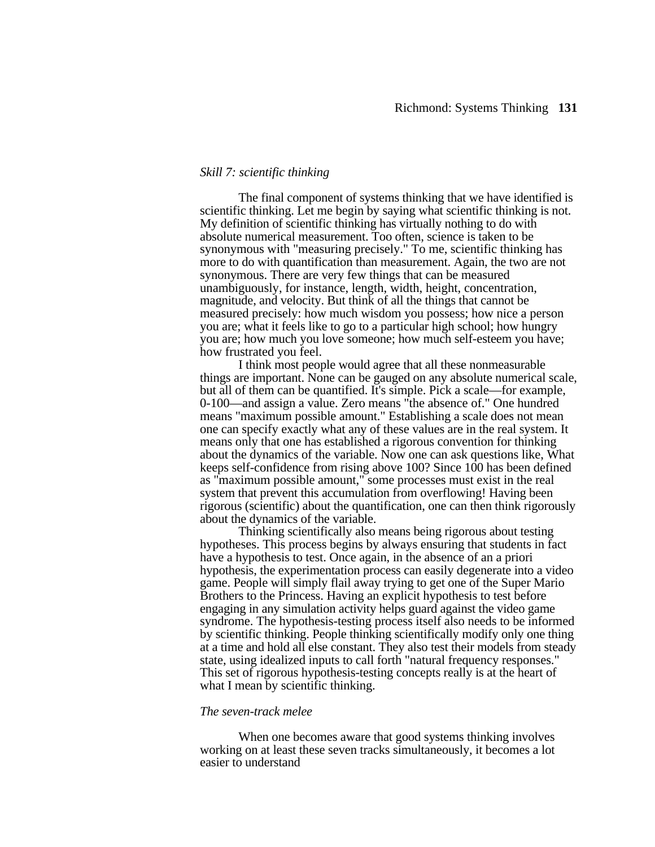### *Skill 7: scientific thinking*

The final component of systems thinking that we have identified is scientific thinking. Let me begin by saying what scientific thinking is not. My definition of scientific thinking has virtually nothing to do with absolute numerical measurement. Too often, science is taken to be synonymous with "measuring precisely." To me, scientific thinking has more to do with quantification than measurement. Again, the two are not synonymous. There are very few things that can be measured unambiguously, for instance, length, width, height, concentration, magnitude, and velocity. But think of all the things that cannot be measured precisely: how much wisdom you possess; how nice a person you are; what it feels like to go to a particular high school; how hungry you are; how much you love someone; how much self-esteem you have; how frustrated you feel.

I think most people would agree that all these nonmeasurable things are important. None can be gauged on any absolute numerical scale, but all of them can be quantified. It's simple. Pick a scale—for example, 0-100—and assign a value. Zero means "the absence of." One hundred means "maximum possible amount." Establishing a scale does not mean one can specify exactly what any of these values are in the real system. It means only that one has established a rigorous convention for thinking about the dynamics of the variable. Now one can ask questions like, What keeps self-confidence from rising above 100? Since 100 has been defined as "maximum possible amount," some processes must exist in the real system that prevent this accumulation from overflowing! Having been rigorous (scientific) about the quantification, one can then think rigorously about the dynamics of the variable.

Thinking scientifically also means being rigorous about testing hypotheses. This process begins by always ensuring that students in fact have a hypothesis to test. Once again, in the absence of an a priori hypothesis, the experimentation process can easily degenerate into a video game. People will simply flail away trying to get one of the Super Mario Brothers to the Princess. Having an explicit hypothesis to test before engaging in any simulation activity helps guard against the video game syndrome. The hypothesis-testing process itself also needs to be informed by scientific thinking. People thinking scientifically modify only one thing at a time and hold all else constant. They also test their models from steady state, using idealized inputs to call forth "natural frequency responses." This set of rigorous hypothesis-testing concepts really is at the heart of what I mean by scientific thinking.

# *The seven-track melee*

When one becomes aware that good systems thinking involves working on at least these seven tracks simultaneously, it becomes a lot easier to understand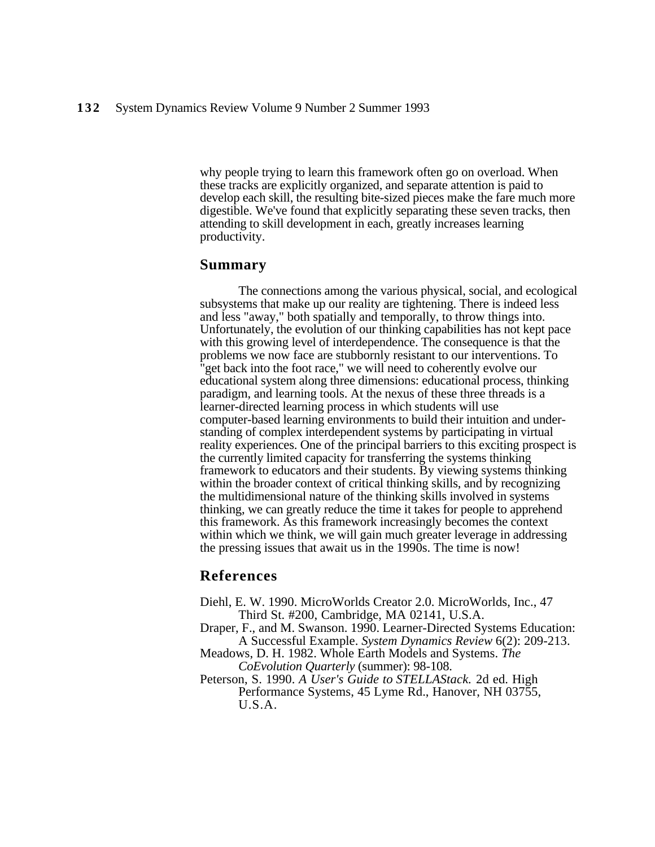why people trying to learn this framework often go on overload. When these tracks are explicitly organized, and separate attention is paid to develop each skill, the resulting bite-sized pieces make the fare much more digestible. We've found that explicitly separating these seven tracks, then attending to skill development in each, greatly increases learning productivity.

# **Summary**

The connections among the various physical, social, and ecological subsystems that make up our reality are tightening. There is indeed less and less "away," both spatially and temporally, to throw things into. Unfortunately, the evolution of our thinking capabilities has not kept pace with this growing level of interdependence. The consequence is that the problems we now face are stubbornly resistant to our interventions. To "get back into the foot race," we will need to coherently evolve our educational system along three dimensions: educational process, thinking paradigm, and learning tools. At the nexus of these three threads is a learner-directed learning process in which students will use computer-based learning environments to build their intuition and understanding of complex interdependent systems by participating in virtual reality experiences. One of the principal barriers to this exciting prospect is the currently limited capacity for transferring the systems thinking framework to educators and their students. By viewing systems thinking within the broader context of critical thinking skills, and by recognizing the multidimensional nature of the thinking skills involved in systems thinking, we can greatly reduce the time it takes for people to apprehend this framework. As this framework increasingly becomes the context within which we think, we will gain much greater leverage in addressing the pressing issues that await us in the 1990s. The time is now!

# **References**

- Diehl, E. W. 1990. MicroWorlds Creator 2.0. MicroWorlds, Inc., 47 Third St. #200, Cambridge, MA 02141, U.S.A.
- Draper, F., and M. Swanson. 1990. Learner-Directed Systems Education: A Successful Example. *System Dynamics Review* 6(2): 209-213.
- Meadows, D. H. 1982. Whole Earth Models and Systems. *The CoEvolution Quarterly* (summer): 98-108.
- Peterson, S. 1990. *A User's Guide to STELLAStack.* 2d ed. High Performance Systems, 45 Lyme Rd., Hanover, NH 03755, U.S.A.